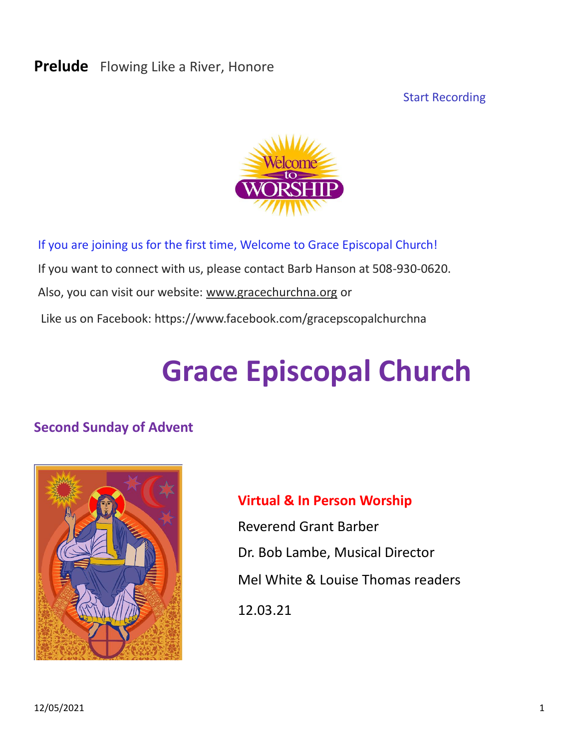#### **Prelude** Flowing Like a River, Honore

Start Recording



If you are joining us for the first time, Welcome to Grace Episcopal Church! If you want to connect with us, please contact Barb Hanson at 508-930-0620. Also, you can visit our website: [www.gracechurchna.org](http://www.gracechurchna.org/) or Like us on Facebook: https://www.facebook.com/gracepscopalchurchna

# **Grace Episcopal Church**

#### **Second Sunday of Advent**



# **Virtual & In Person Worship**

Reverend Grant Barber Dr. Bob Lambe, Musical Director Mel White & Louise Thomas readers 12.03.21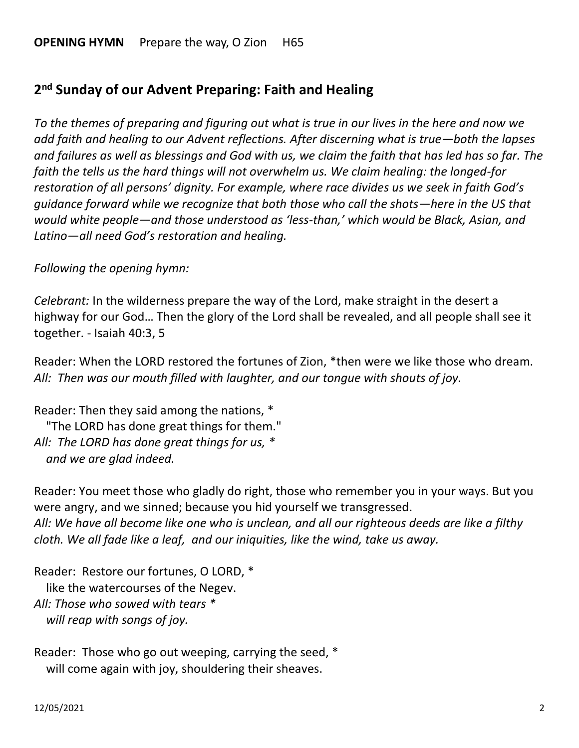# **2 nd Sunday of our Advent Preparing: Faith and Healing**

*To the themes of preparing and figuring out what is true in our lives in the here and now we add faith and healing to our Advent reflections. After discerning what is true—both the lapses and failures as well as blessings and God with us, we claim the faith that has led has so far. The faith the tells us the hard things will not overwhelm us. We claim healing: the longed-for restoration of all persons' dignity. For example, where race divides us we seek in faith God's guidance forward while we recognize that both those who call the shots—here in the US that would white people—and those understood as 'less-than,' which would be Black, Asian, and Latino—all need God's restoration and healing.*

*Following the opening hymn:*

*Celebrant:* In the wilderness prepare the way of the Lord, make straight in the desert a highway for our God… Then the glory of the Lord shall be revealed, and all people shall see it together. - Isaiah 40:3, 5

Reader: When the LORD restored the fortunes of Zion, \*then were we like those who dream. *All: Then was our mouth filled with laughter, and our tongue with shouts of joy.*

Reader: Then they said among the nations, \* "The LORD has done great things for them." *All: The LORD has done great things for us, \* and we are glad indeed.*

Reader: You meet those who gladly do right, those who remember you in your ways. But you were angry, and we sinned; because you hid yourself we transgressed. *All: We have all become like one who is unclean, and all our righteous deeds are like a filthy cloth. We all fade like a leaf, and our iniquities, like the wind, take us away.* 

Reader: Restore our fortunes, O LORD, \* like the watercourses of the Negev. *All: Those who sowed with tears \* will reap with songs of joy.*

Reader: Those who go out weeping, carrying the seed, \* will come again with joy, shouldering their sheaves.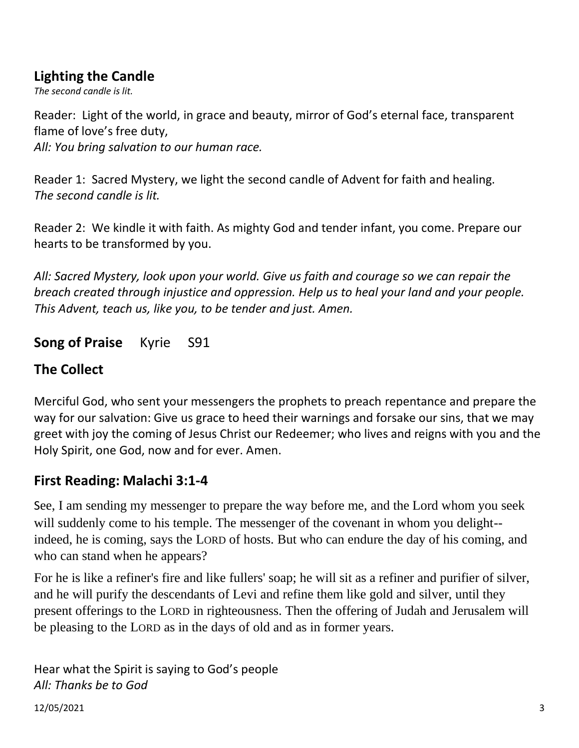# **Lighting the Candle**

*The second candle is lit.* 

Reader: Light of the world, in grace and beauty, mirror of God's eternal face, transparent flame of love's free duty,

*All: You bring salvation to our human race.* 

Reader 1: Sacred Mystery, we light the second candle of Advent for faith and healing. *The second candle is lit.* 

Reader 2: We kindle it with faith. As mighty God and tender infant, you come. Prepare our hearts to be transformed by you.

*All: Sacred Mystery, look upon your world. Give us faith and courage so we can repair the breach created through injustice and oppression. Help us to heal your land and your people. This Advent, teach us, like you, to be tender and just. Amen.*

# **Song of Praise** Kyrie S91

# **The Collect**

Merciful God, who sent your messengers the prophets to preach repentance and prepare the way for our salvation: Give us grace to heed their warnings and forsake our sins, that we may greet with joy the coming of Jesus Christ our Redeemer; who lives and reigns with you and the Holy Spirit, one God, now and for ever. Amen.

# **First Reading: Malachi 3:1-4**

See, I am sending my messenger to prepare the way before me, and the Lord whom you seek will suddenly come to his temple. The messenger of the covenant in whom you delight-indeed, he is coming, says the LORD of hosts. But who can endure the day of his coming, and who can stand when he appears?

For he is like a refiner's fire and like fullers' soap; he will sit as a refiner and purifier of silver, and he will purify the descendants of Levi and refine them like gold and silver, until they present offerings to the LORD in righteousness. Then the offering of Judah and Jerusalem will be pleasing to the LORD as in the days of old and as in former years.

Hear what the Spirit is saying to God's people *All: Thanks be to God*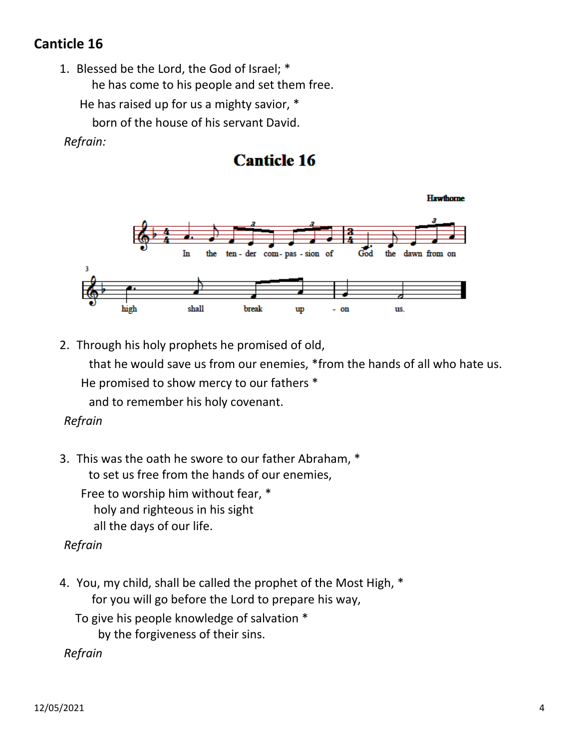# **Canticle 16**

1. Blessed be the Lord, the God of Israel; \* he has come to his people and set them free.

He has raised up for us a mighty savior, \*

born of the house of his servant David.

#### *Refrain:*

# **Canticle 16**

**Hawthorne** In the ten - der com- pas - sion of God the dawn from on shall break high up on us.

2. Through his holy prophets he promised of old,

 that he would save us from our enemies, \*from the hands of all who hate us. He promised to show mercy to our fathers \*

and to remember his holy covenant.

#### *Refrain*

3. This was the oath he swore to our father Abraham, \* to set us free from the hands of our enemies,

Free to worship him without fear, \* holy and righteous in his sight all the days of our life.

#### *Refrain*

4. You, my child, shall be called the prophet of the Most High, \* for you will go before the Lord to prepare his way,

To give his people knowledge of salvation \* by the forgiveness of their sins.

 *Refrain*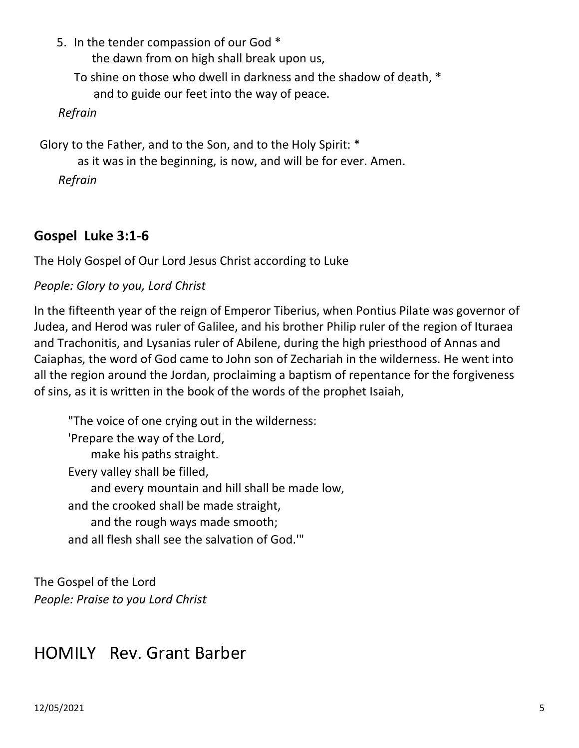5. In the tender compassion of our God \* the dawn from on high shall break upon us, To shine on those who dwell in darkness and the shadow of death, \* and to guide our feet into the way of peace.  *Refrain* Glory to the Father, and to the Son, and to the Holy Spirit: \* as it was in the beginning, is now, and will be for ever. Amen.  *Refrain*

#### **Gospel Luke 3:1-6**

The Holy Gospel of Our Lord Jesus Christ according to Luke

#### *People: Glory to you, Lord Christ*

In the fifteenth year of the reign of Emperor Tiberius, when Pontius Pilate was governor of Judea, and Herod was ruler of Galilee, and his brother Philip ruler of the region of Ituraea and Trachonitis, and Lysanias ruler of Abilene, during the high priesthood of Annas and Caiaphas, the word of God came to John son of Zechariah in the wilderness. He went into all the region around the Jordan, proclaiming a baptism of repentance for the forgiveness of sins, as it is written in the book of the words of the prophet Isaiah,

"The voice of one crying out in the wilderness: 'Prepare the way of the Lord, make his paths straight. Every valley shall be filled, and every mountain and hill shall be made low, and the crooked shall be made straight, and the rough ways made smooth; and all flesh shall see the salvation of God.'"

The Gospel of the Lord *People: Praise to you Lord Christ*

# HOMILY Rev. Grant Barber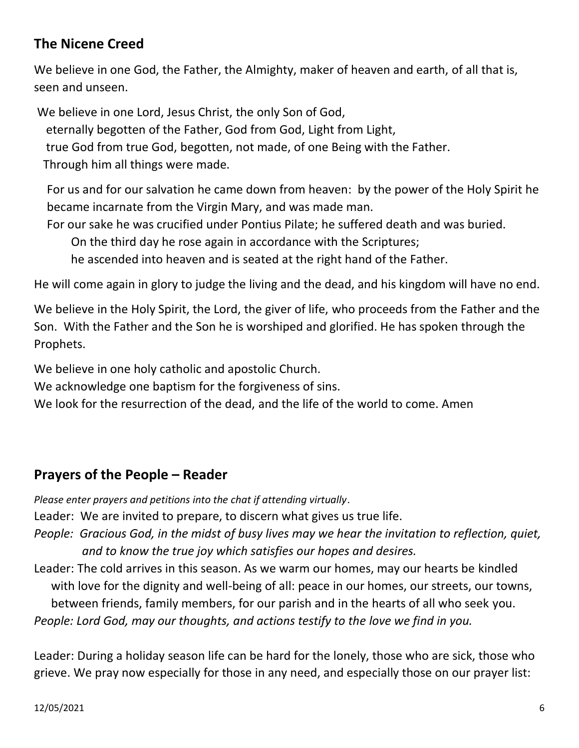## **The Nicene Creed**

We believe in one God, the Father, the Almighty, maker of heaven and earth, of all that is, seen and unseen.

We believe in one Lord, Jesus Christ, the only Son of God,

eternally begotten of the Father, God from God, Light from Light,

true God from true God, begotten, not made, of one Being with the Father.

Through him all things were made.

For us and for our salvation he came down from heaven: by the power of the Holy Spirit he became incarnate from the Virgin Mary, and was made man.

For our sake he was crucified under Pontius Pilate; he suffered death and was buried.

On the third day he rose again in accordance with the Scriptures;

he ascended into heaven and is seated at the right hand of the Father.

He will come again in glory to judge the living and the dead, and his kingdom will have no end.

We believe in the Holy Spirit, the Lord, the giver of life, who proceeds from the Father and the Son. With the Father and the Son he is worshiped and glorified. He has spoken through the Prophets.

We believe in one holy catholic and apostolic Church.

We acknowledge one baptism for the forgiveness of sins.

We look for the resurrection of the dead, and the life of the world to come. Amen

#### **Prayers of the People – Reader**

*Please enter prayers and petitions into the chat if attending virtually*. Leader: We are invited to prepare, to discern what gives us true life. *People: Gracious God, in the midst of busy lives may we hear the invitation to reflection, quiet, and to know the true joy which satisfies our hopes and desires.* Leader: The cold arrives in this season. As we warm our homes, may our hearts be kindled with love for the dignity and well-being of all: peace in our homes, our streets, our towns, between friends, family members, for our parish and in the hearts of all who seek you.

*People: Lord God, may our thoughts, and actions testify to the love we find in you.* 

Leader: During a holiday season life can be hard for the lonely, those who are sick, those who grieve. We pray now especially for those in any need, and especially those on our prayer list: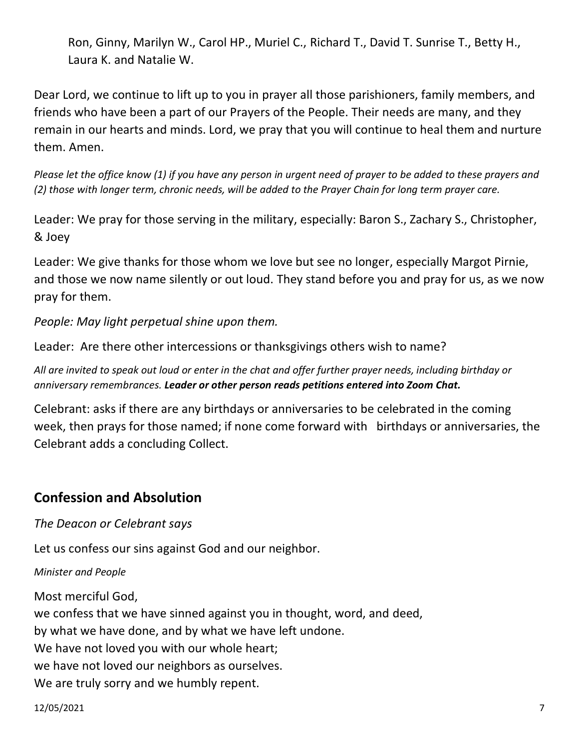Ron, Ginny, Marilyn W., Carol HP., Muriel C., Richard T., David T. Sunrise T., Betty H., Laura K. and Natalie W.

Dear Lord, we continue to lift up to you in prayer all those parishioners, family members, and friends who have been a part of our Prayers of the People. Their needs are many, and they remain in our hearts and minds. Lord, we pray that you will continue to heal them and nurture them. Amen.

*Please let the office know (1) if you have any person in urgent need of prayer to be added to these prayers and (2) those with longer term, chronic needs, will be added to the Prayer Chain for long term prayer care.*

Leader: We pray for those serving in the military, especially: Baron S., Zachary S., Christopher, & Joey

Leader: We give thanks for those whom we love but see no longer, especially Margot Pirnie, and those we now name silently or out loud. They stand before you and pray for us, as we now pray for them.

*People: May light perpetual shine upon them.*

Leader: Are there other intercessions or thanksgivings others wish to name?

*All are invited to speak out loud or enter in the chat and offer further prayer needs, including birthday or anniversary remembrances. Leader or other person reads petitions entered into Zoom Chat.*

Celebrant: asks if there are any birthdays or anniversaries to be celebrated in the coming week, then prays for those named; if none come forward with birthdays or anniversaries, the Celebrant adds a concluding Collect.

# **Confession and Absolution**

#### *The Deacon or Celebrant says*

Let us confess our sins against God and our neighbor.

#### *Minister and People*

Most merciful God, we confess that we have sinned against you in thought, word, and deed, by what we have done, and by what we have left undone. We have not loved you with our whole heart; we have not loved our neighbors as ourselves. We are truly sorry and we humbly repent.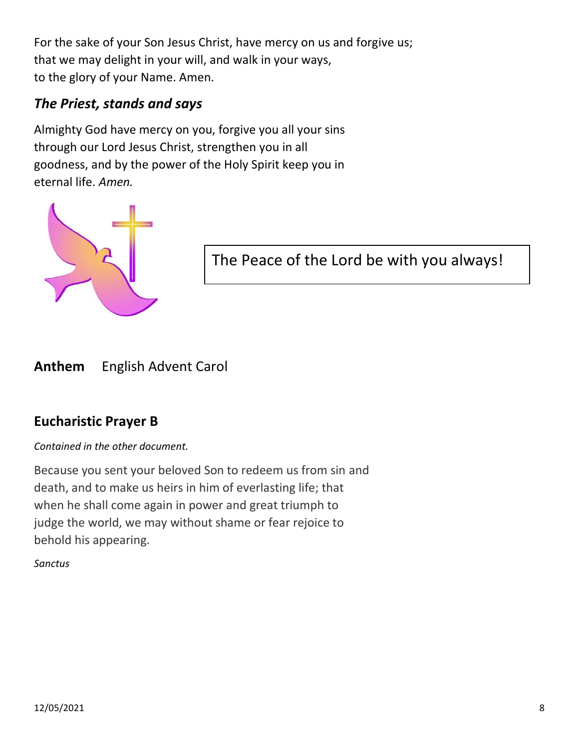For the sake of your Son Jesus Christ, have mercy on us and forgive us; that we may delight in your will, and walk in your ways, to the glory of your Name. Amen.

# *The Priest, stands and says*

Almighty God have mercy on you, forgive you all your sins through our Lord Jesus Christ, strengthen you in all goodness, and by the power of the Holy Spirit keep you in eternal life. *Amen.*



The Peace of the Lord be with you always!

**Anthem** English Advent Carol

# **Eucharistic Prayer B**

*Contained in the other document.*

Because you sent your beloved Son to redeem us from sin and death, and to make us heirs in him of everlasting life; that when he shall come again in power and great triumph to judge the world, we may without shame or fear rejoice to behold his appearing.

*Sanctus*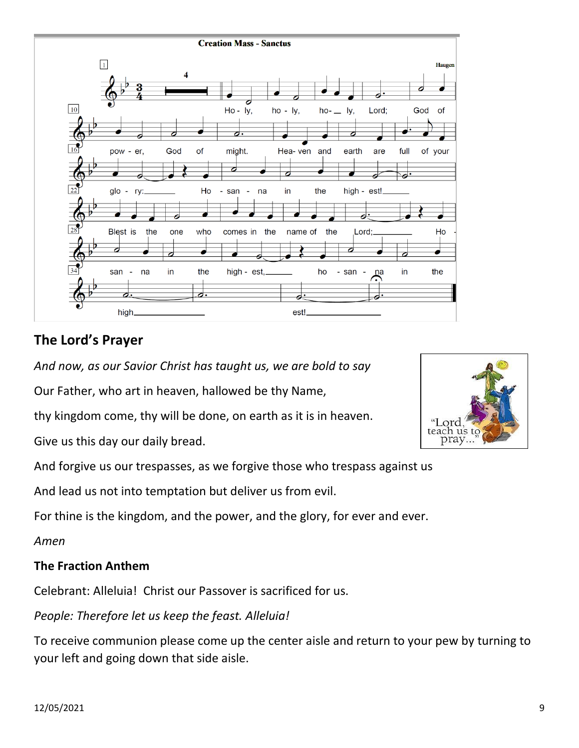

# **The Lord's Prayer**

*And now, as our Savior Christ has taught us, we are bold to say*

Our Father, who art in heaven, hallowed be thy Name,

thy kingdom come, thy will be done, on earth as it is in heaven.

Give us this day our daily bread.

And forgive us our trespasses, as we forgive those who trespass against us

And lead us not into temptation but deliver us from evil.

For thine is the kingdom, and the power, and the glory, for ever and ever.

*Amen*

#### **The Fraction Anthem**

Celebrant: Alleluia! Christ our Passover is sacrificed for us.

*People: Therefore let us keep the feast. Alleluia!* 

To receive communion please come up the center aisle and return to your pew by turning to your left and going down that side aisle.

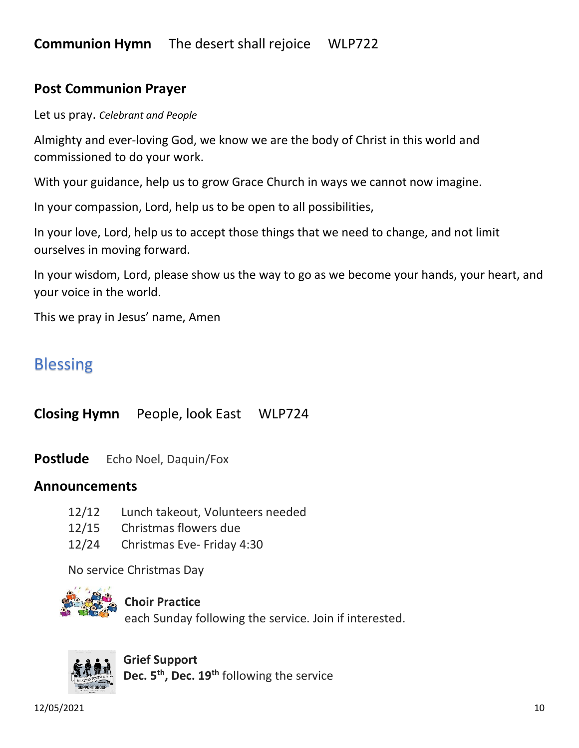#### **Post Communion Prayer**

Let us pray. *Celebrant and People*

Almighty and ever-loving God, we know we are the body of Christ in this world and commissioned to do your work.

With your guidance, help us to grow Grace Church in ways we cannot now imagine.

In your compassion, Lord, help us to be open to all possibilities,

In your love, Lord, help us to accept those things that we need to change, and not limit ourselves in moving forward.

In your wisdom, Lord, please show us the way to go as we become your hands, your heart, and your voice in the world.

This we pray in Jesus' name, Amen

# Blessing

**Closing Hymn** People, look East WLP724

**Postlude** Echo Noel, Daquin/Fox

#### **Announcements**

- 12/12 Lunch takeout, Volunteers needed
- 12/15 Christmas flowers due
- 12/24 Christmas Eve- Friday 4:30

No service Christmas Day



#### **Choir Practice**

each Sunday following the service. Join if interested.



**Grief Support Dec. 5th, Dec. 19th** following the service